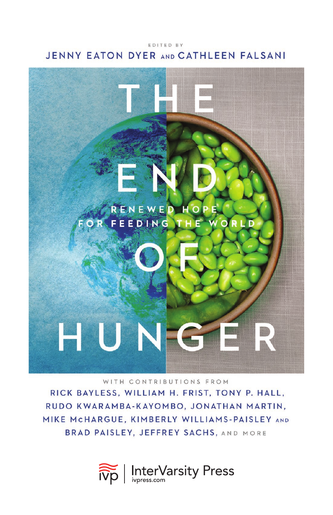



WITH CONTRIBUTIONS FROM

RICK BAYLESS, WILLIAM H. FRIST, TONY P. HALL, RUDO KWARAMBA-KAYOMBO, JONATHAN MARTIN, MIKE MCHARGUE, KIMBERLY WILLIAMS-PAISLEY AND BRAD PAISLEY, JEFFREY SACHS, AND MORE

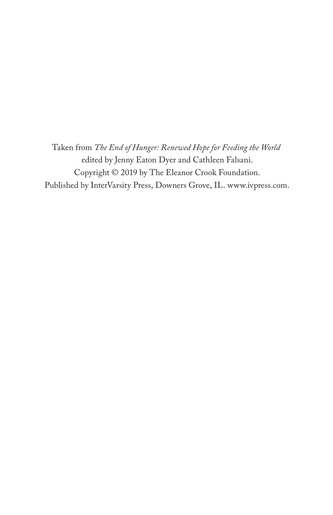Taken from *The End of Hunger: Renewed Hope for Feeding the World* edited by Jenny Eaton Dyer and Cathleen Falsani. Copyright © 2019 by The Eleanor Crook Foundation. Published by InterVarsity Press, Downers Grove, IL. [www.ivpress.com.](https://www.ivpress.com)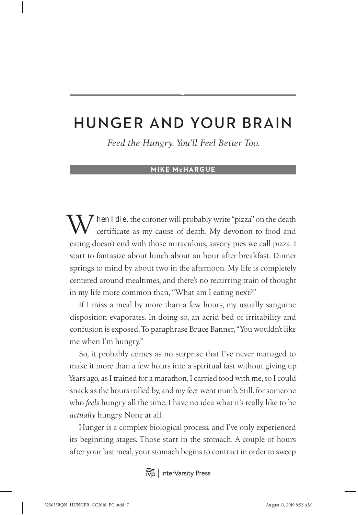## HUNGER AND YOUR BRAIN

**1**

*Feed the Hungry. You'll Feel Better Too.*

## **MIKE McHARGUE**

W hen I die, the coroner will probably write "pizza" on the death certificate as my cause of death. My devotion to food and eating doesn't end with those miraculous, savory pies we call pizza. I start to fantasize about lunch about an hour after breakfast. Dinner springs to mind by about two in the afternoon. My life is completely centered around mealtimes, and there's no recurring train of thought in my life more common than, "What am I eating next?"

If I miss a meal by more than a few hours, my usually sanguine disposition evaporates. In doing so, an acrid bed of irritability and confusion is exposed. To paraphrase Bruce Banner, "You wouldn't like me when I'm hungry."

So, it probably comes as no surprise that I've never managed to make it more than a few hours into a spiritual fast without giving up. Years ago, as I trained for a marathon, I carried food with me, so I could snack as the hours rolled by, and my feet went numb. Still, for someone who *feels* hungry all the time, I have no idea what it's really like to be *actually* hungry. None at all.

Hunger is a complex biological process, and I've only experienced its beginning stages. Those start in the stomach. A couple of hours after your last meal, your stomach begins to contract in order to sweep

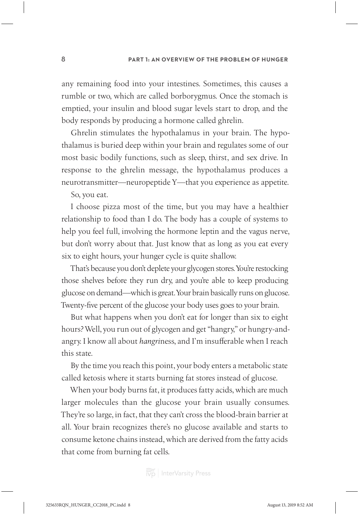any remaining food into your intestines. Sometimes, this causes a rumble or two, which are called borborygmus. Once the stomach is emptied, your insulin and blood sugar levels start to drop, and the body responds by producing a hormone called ghrelin.

Ghrelin stimulates the hypothalamus in your brain. The hypothalamus is buried deep within your brain and regulates some of our most basic bodily functions, such as sleep, thirst, and sex drive. In response to the ghrelin message, the hypothalamus produces a neurotransmitter—neuropeptide Y—that you experience as appetite.

So, you eat.

I choose pizza most of the time, but you may have a healthier relationship to food than I do. The body has a couple of systems to help you feel full, involving the hormone leptin and the vagus nerve, but don't worry about that. Just know that as long as you eat every six to eight hours, your hunger cycle is quite shallow.

That's because you don't deplete your glycogen stores. You're restocking those shelves before they run dry, and you're able to keep producing glucose on demand—which is great. Your brain basically runs on glucose. Twenty-five percent of the glucose your body uses goes to your brain.

But what happens when you don't eat for longer than six to eight hours? Well, you run out of glycogen and get "hangry," or hungry-andangry. I know all about *hangri*ness, and I'm insufferable when I reach this state.

By the time you reach this point, your body enters a metabolic state called ketosis where it starts burning fat stores instead of glucose.

When your body burns fat, it produces fatty acids, which are much larger molecules than the glucose your brain usually consumes. They're so large, in fact, that they can't cross the blood-brain barrier at all. Your brain recognizes there's no glucose available and starts to consume ketone chains instead, which are derived from the fatty acids that come from burning fat cells.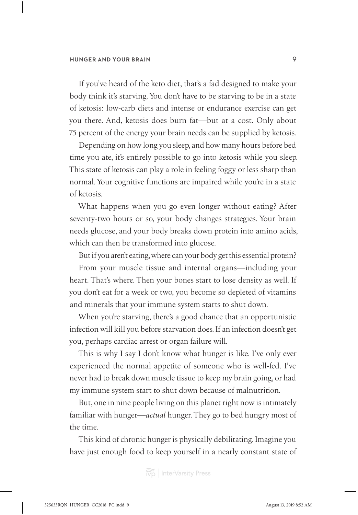If you've heard of the keto diet, that's a fad designed to make your body think it's starving. You don't have to be starving to be in a state of ketosis: low-carb diets and intense or endurance exercise can get you there. And, ketosis does burn fat—but at a cost. Only about 75 percent of the energy your brain needs can be supplied by ketosis.

Depending on how long you sleep, and how many hours before bed time you ate, it's entirely possible to go into ketosis while you sleep. This state of ketosis can play a role in feeling foggy or less sharp than normal. Your cognitive functions are impaired while you're in a state of ketosis.

What happens when you go even longer without eating? After seventy-two hours or so, your body changes strategies. Your brain needs glucose, and your body breaks down protein into amino acids, which can then be transformed into glucose.

But if you aren't eating, where can your body get this essential protein? From your muscle tissue and internal organs—including your heart. That's where. Then your bones start to lose density as well. If you don't eat for a week or two, you become so depleted of vitamins and minerals that your immune system starts to shut down.

When you're starving, there's a good chance that an opportunistic infection will kill you before starvation does. If an infection doesn't get you, perhaps cardiac arrest or organ failure will.

This is why I say I don't know what hunger is like. I've only ever experienced the normal appetite of someone who is well-fed. I've never had to break down muscle tissue to keep my brain going, or had my immune system start to shut down because of malnutrition.

But, one in nine people living on this planet right now is intimately familiar with hunger—*actual* hunger. They go to bed hungry most of the time.

This kind of chronic hunger is physically debilitating. Imagine you have just enough food to keep yourself in a nearly constant state of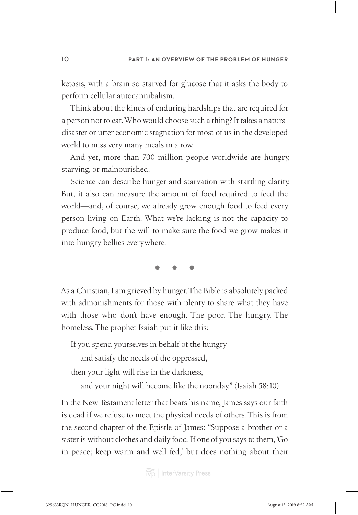ketosis, with a brain so starved for glucose that it asks the body to perform cellular autocannibalism.

Think about the kinds of enduring hardships that are required for a person not to eat. Who would choose such a thing? It takes a natural disaster or utter economic stagnation for most of us in the developed world to miss very many meals in a row.

And yet, more than 700 million people worldwide are hungry, starving, or malnourished.

Science can describe hunger and starvation with startling clarity. But, it also can measure the amount of food required to feed the world—and, of course, we already grow enough food to feed every person living on Earth. What we're lacking is not the capacity to produce food, but the will to make sure the food we grow makes it into hungry bellies everywhere.

**• • •**

As a Christian, I am grieved by hunger. The Bible is absolutely packed with admonishments for those with plenty to share what they have with those who don't have enough. The poor. The hungry. The homeless. The prophet Isaiah put it like this:

If you spend yourselves in behalf of the hungry

and satisfy the needs of the oppressed,

then your light will rise in the darkness,

and your night will become like the noonday." (Isaiah 58:10)

In the New Testament letter that bears his name, James says our faith is dead if we refuse to meet the physical needs of others. This is from the second chapter of the Epistle of James: "Suppose a brother or a sister is without clothes and daily food. If one of you says to them, 'Go in peace; keep warm and well fed,' but does nothing about their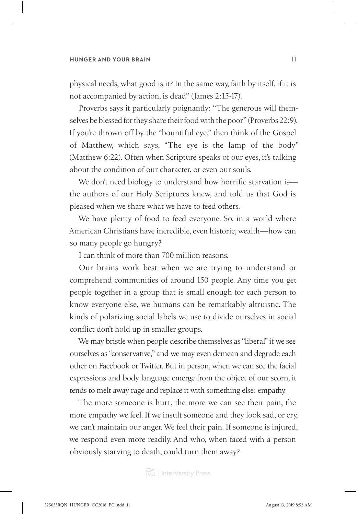physical needs, what good is it? In the same way, faith by itself, if it is not accompanied by action, is dead" (James 2:15-17).

Proverbs says it particularly poignantly: "The generous will themselves be blessed for they share their food with the poor" (Proverbs 22:9). If you're thrown off by the "bountiful eye," then think of the Gospel of Matthew, which says, "The eye is the lamp of the body" (Matthew 6:22). Often when Scripture speaks of our eyes, it's talking about the condition of our character, or even our souls.

We don't need biology to understand how horrific starvation is the authors of our Holy Scriptures knew, and told us that God is pleased when we share what we have to feed others.

We have plenty of food to feed everyone. So, in a world where American Christians have incredible, even historic, wealth—how can so many people go hungry?

I can think of more than 700 million reasons.

Our brains work best when we are trying to understand or comprehend communities of around 150 people. Any time you get people together in a group that is small enough for each person to know everyone else, we humans can be remarkably altruistic. The kinds of polarizing social labels we use to divide ourselves in social conflict don't hold up in smaller groups.

We may bristle when people describe themselves as "liberal" if we see ourselves as "conservative," and we may even demean and degrade each other on Facebook or Twitter. But in person, when we can see the facial expressions and body language emerge from the object of our scorn, it tends to melt away rage and replace it with something else: empathy.

The more someone is hurt, the more we can see their pain, the more empathy we feel. If we insult someone and they look sad, or cry, we can't maintain our anger. We feel their pain. If someone is injured, we respond even more readily. And who, when faced with a person obviously starving to death, could turn them away?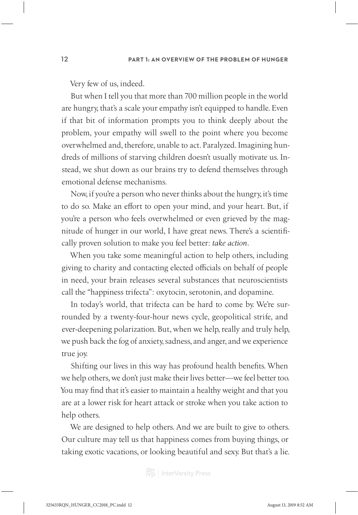Very few of us, indeed.

But when I tell you that more than 700 million people in the world are hungry, that's a scale your empathy isn't equipped to handle. Even if that bit of information prompts you to think deeply about the problem, your empathy will swell to the point where you become overwhelmed and, therefore, unable to act. Paralyzed. Imagining hundreds of millions of starving children doesn't usually motivate us. Instead, we shut down as our brains try to defend themselves through emotional defense mechanisms.

Now, if you're a person who never thinks about the hungry, it's time to do so. Make an effort to open your mind, and your heart. But, if you're a person who feels overwhelmed or even grieved by the magnitude of hunger in our world, I have great news. There's a scientifically proven solution to make you feel better: *take action*.

When you take some meaningful action to help others, including giving to charity and contacting elected officials on behalf of people in need, your brain releases several substances that neuroscientists call the "happiness trifecta": oxytocin, serotonin, and dopamine.

In today's world, that trifecta can be hard to come by. We're surrounded by a twenty-four-hour news cycle, geopolitical strife, and ever-deepening polarization. But, when we help, really and truly help, we push back the fog of anxiety, sadness, and anger, and we experience true joy.

Shifting our lives in this way has profound health benefits. When we help others, we don't just make their lives better—we feel better too. You may find that it's easier to maintain a healthy weight and that you are at a lower risk for heart attack or stroke when you take action to help others.

We are designed to help others. And we are built to give to others. Our culture may tell us that happiness comes from buying things, or taking exotic vacations, or looking beautiful and sexy. But that's a lie.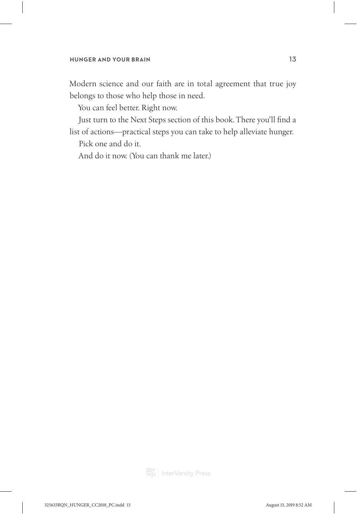Modern science and our faith are in total agreement that true joy belongs to those who help those in need.

You can feel better. Right now.

Just turn to the Next Steps section of this book. There you'll find a list of actions—practical steps you can take to help alleviate hunger.

Pick one and do it.

And do it now. (You can thank me later.)